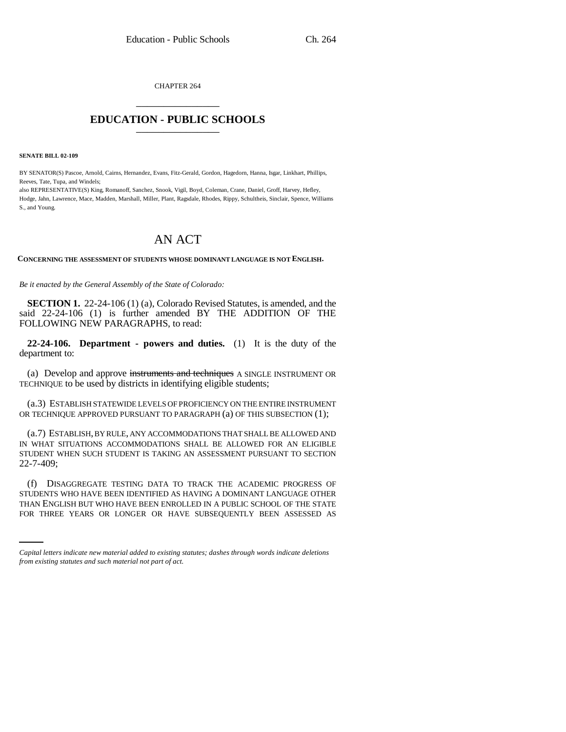CHAPTER 264 \_\_\_\_\_\_\_\_\_\_\_\_\_\_\_

## **EDUCATION - PUBLIC SCHOOLS** \_\_\_\_\_\_\_\_\_\_\_\_\_\_\_

**SENATE BILL 02-109**

BY SENATOR(S) Pascoe, Arnold, Cairns, Hernandez, Evans, Fitz-Gerald, Gordon, Hagedorn, Hanna, Isgar, Linkhart, Phillips, Reeves, Tate, Tupa, and Windels;

also REPRESENTATIVE(S) King, Romanoff, Sanchez, Snook, Vigil, Boyd, Coleman, Crane, Daniel, Groff, Harvey, Hefley, Hodge, Jahn, Lawrence, Mace, Madden, Marshall, Miller, Plant, Ragsdale, Rhodes, Rippy, Schultheis, Sinclair, Spence, Williams S., and Young.

## AN ACT

**CONCERNING THE ASSESSMENT OF STUDENTS WHOSE DOMINANT LANGUAGE IS NOT ENGLISH.**

*Be it enacted by the General Assembly of the State of Colorado:*

**SECTION 1.** 22-24-106 (1) (a), Colorado Revised Statutes, is amended, and the said 22-24-106 (1) is further amended BY THE ADDITION OF THE FOLLOWING NEW PARAGRAPHS, to read:

**22-24-106. Department - powers and duties.** (1) It is the duty of the department to:

(a) Develop and approve instruments and techniques A SINGLE INSTRUMENT OR TECHNIQUE to be used by districts in identifying eligible students;

(a.3) ESTABLISH STATEWIDE LEVELS OF PROFICIENCY ON THE ENTIRE INSTRUMENT OR TECHNIQUE APPROVED PURSUANT TO PARAGRAPH (a) OF THIS SUBSECTION (1);

(a.7) ESTABLISH, BY RULE, ANY ACCOMMODATIONS THAT SHALL BE ALLOWED AND IN WHAT SITUATIONS ACCOMMODATIONS SHALL BE ALLOWED FOR AN ELIGIBLE STUDENT WHEN SUCH STUDENT IS TAKING AN ASSESSMENT PURSUANT TO SECTION 22-7-409;

STUDENTS WHO HAVE BEEN IDENTIFIED AS HAVING A DOMINANT LANGUAGE OTHER (f) DISAGGREGATE TESTING DATA TO TRACK THE ACADEMIC PROGRESS OF THAN ENGLISH BUT WHO HAVE BEEN ENROLLED IN A PUBLIC SCHOOL OF THE STATE FOR THREE YEARS OR LONGER OR HAVE SUBSEQUENTLY BEEN ASSESSED AS

*Capital letters indicate new material added to existing statutes; dashes through words indicate deletions from existing statutes and such material not part of act.*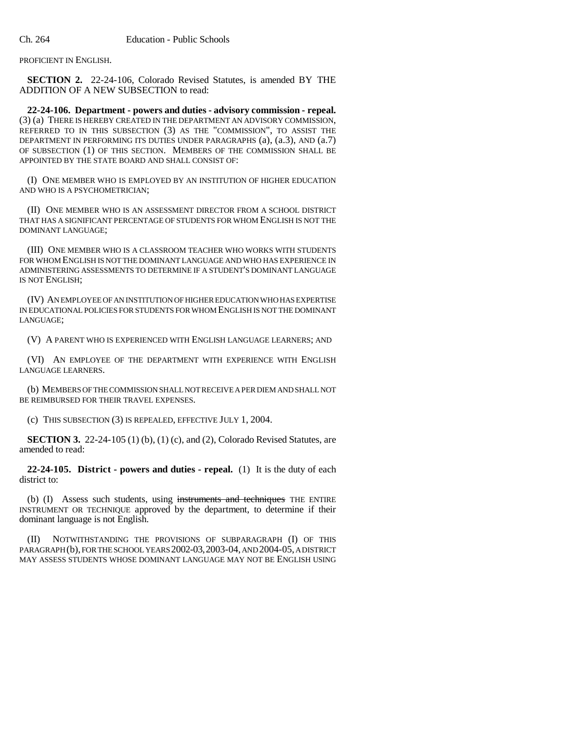PROFICIENT IN ENGLISH.

**SECTION 2.** 22-24-106, Colorado Revised Statutes, is amended BY THE ADDITION OF A NEW SUBSECTION to read:

**22-24-106. Department - powers and duties - advisory commission - repeal.** (3) (a) THERE IS HEREBY CREATED IN THE DEPARTMENT AN ADVISORY COMMISSION, REFERRED TO IN THIS SUBSECTION (3) AS THE "COMMISSION", TO ASSIST THE DEPARTMENT IN PERFORMING ITS DUTIES UNDER PARAGRAPHS (a), (a.3), AND (a.7) OF SUBSECTION (1) OF THIS SECTION. MEMBERS OF THE COMMISSION SHALL BE APPOINTED BY THE STATE BOARD AND SHALL CONSIST OF:

(I) ONE MEMBER WHO IS EMPLOYED BY AN INSTITUTION OF HIGHER EDUCATION AND WHO IS A PSYCHOMETRICIAN;

(II) ONE MEMBER WHO IS AN ASSESSMENT DIRECTOR FROM A SCHOOL DISTRICT THAT HAS A SIGNIFICANT PERCENTAGE OF STUDENTS FOR WHOM ENGLISH IS NOT THE DOMINANT LANGUAGE;

(III) ONE MEMBER WHO IS A CLASSROOM TEACHER WHO WORKS WITH STUDENTS FOR WHOM ENGLISH IS NOT THE DOMINANT LANGUAGE AND WHO HAS EXPERIENCE IN ADMINISTERING ASSESSMENTS TO DETERMINE IF A STUDENT'S DOMINANT LANGUAGE IS NOT ENGLISH;

(IV) AN EMPLOYEE OF AN INSTITUTION OF HIGHER EDUCATION WHO HAS EXPERTISE IN EDUCATIONAL POLICIES FOR STUDENTS FOR WHOM ENGLISH IS NOT THE DOMINANT LANGUAGE;

(V) A PARENT WHO IS EXPERIENCED WITH ENGLISH LANGUAGE LEARNERS; AND

(VI) AN EMPLOYEE OF THE DEPARTMENT WITH EXPERIENCE WITH ENGLISH LANGUAGE LEARNERS.

(b) MEMBERS OF THE COMMISSION SHALL NOT RECEIVE A PER DIEM AND SHALL NOT BE REIMBURSED FOR THEIR TRAVEL EXPENSES.

(c) THIS SUBSECTION (3) IS REPEALED, EFFECTIVE JULY 1, 2004.

**SECTION 3.** 22-24-105 (1) (b), (1) (c), and (2), Colorado Revised Statutes, are amended to read:

**22-24-105. District - powers and duties - repeal.** (1) It is the duty of each district to:

(b) (I) Assess such students, using instruments and techniques THE ENTIRE INSTRUMENT OR TECHNIQUE approved by the department, to determine if their dominant language is not English.

(II) NOTWITHSTANDING THE PROVISIONS OF SUBPARAGRAPH (I) OF THIS PARAGRAPH (b), FOR THE SCHOOL YEARS 2002-03,2003-04, AND 2004-05, A DISTRICT MAY ASSESS STUDENTS WHOSE DOMINANT LANGUAGE MAY NOT BE ENGLISH USING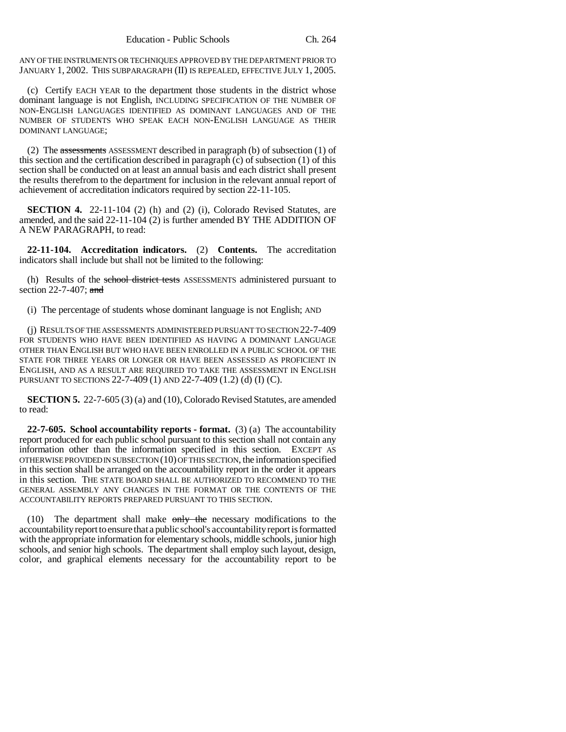ANY OF THE INSTRUMENTS OR TECHNIQUES APPROVED BY THE DEPARTMENT PRIOR TO JANUARY 1, 2002. THIS SUBPARAGRAPH (II) IS REPEALED, EFFECTIVE JULY 1, 2005.

(c) Certify EACH YEAR to the department those students in the district whose dominant language is not English, INCLUDING SPECIFICATION OF THE NUMBER OF NON-ENGLISH LANGUAGES IDENTIFIED AS DOMINANT LANGUAGES AND OF THE NUMBER OF STUDENTS WHO SPEAK EACH NON-ENGLISH LANGUAGE AS THEIR DOMINANT LANGUAGE;

(2) The assessments ASSESSMENT described in paragraph (b) of subsection (1) of this section and the certification described in paragraph (c) of subsection (1) of this section shall be conducted on at least an annual basis and each district shall present the results therefrom to the department for inclusion in the relevant annual report of achievement of accreditation indicators required by section 22-11-105.

**SECTION 4.** 22-11-104 (2) (h) and (2) (i), Colorado Revised Statutes, are amended, and the said 22-11-104 (2) is further amended BY THE ADDITION OF A NEW PARAGRAPH, to read:

**22-11-104. Accreditation indicators.** (2) **Contents.** The accreditation indicators shall include but shall not be limited to the following:

(h) Results of the school district tests ASSESSMENTS administered pursuant to section 22-7-407; and

(i) The percentage of students whose dominant language is not English; AND

(j) RESULTS OF THE ASSESSMENTS ADMINISTERED PURSUANT TO SECTION 22-7-409 FOR STUDENTS WHO HAVE BEEN IDENTIFIED AS HAVING A DOMINANT LANGUAGE OTHER THAN ENGLISH BUT WHO HAVE BEEN ENROLLED IN A PUBLIC SCHOOL OF THE STATE FOR THREE YEARS OR LONGER OR HAVE BEEN ASSESSED AS PROFICIENT IN ENGLISH, AND AS A RESULT ARE REQUIRED TO TAKE THE ASSESSMENT IN ENGLISH PURSUANT TO SECTIONS 22-7-409 (1) AND 22-7-409 (1.2) (d) (I) (C).

**SECTION 5.** 22-7-605 (3) (a) and (10), Colorado Revised Statutes, are amended to read:

**22-7-605. School accountability reports - format.** (3) (a) The accountability report produced for each public school pursuant to this section shall not contain any information other than the information specified in this section. EXCEPT AS OTHERWISE PROVIDED IN SUBSECTION (10) OF THIS SECTION, the information specified in this section shall be arranged on the accountability report in the order it appears in this section. THE STATE BOARD SHALL BE AUTHORIZED TO RECOMMEND TO THE GENERAL ASSEMBLY ANY CHANGES IN THE FORMAT OR THE CONTENTS OF THE ACCOUNTABILITY REPORTS PREPARED PURSUANT TO THIS SECTION.

 $(10)$  The department shall make  $\frac{m}{v}$  the necessary modifications to the accountability report to ensure that a public school's accountability report is formatted with the appropriate information for elementary schools, middle schools, junior high schools, and senior high schools. The department shall employ such layout, design, color, and graphical elements necessary for the accountability report to be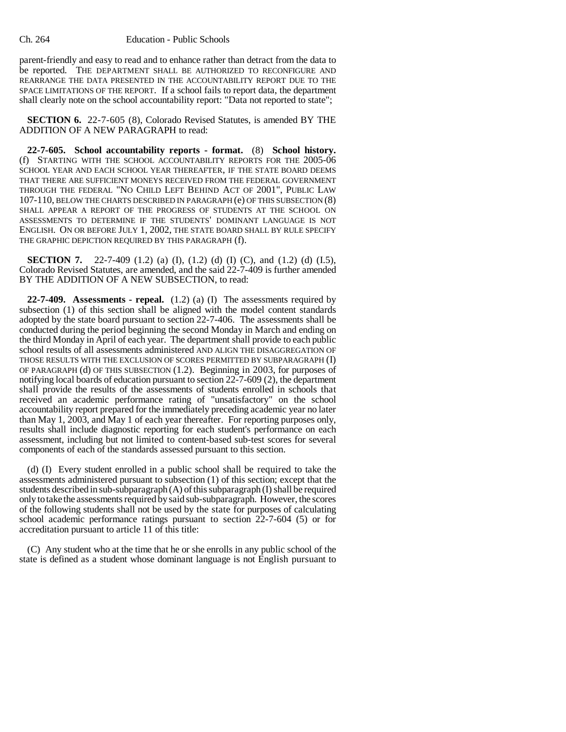parent-friendly and easy to read and to enhance rather than detract from the data to be reported. THE DEPARTMENT SHALL BE AUTHORIZED TO RECONFIGURE AND REARRANGE THE DATA PRESENTED IN THE ACCOUNTABILITY REPORT DUE TO THE SPACE LIMITATIONS OF THE REPORT. If a school fails to report data, the department shall clearly note on the school accountability report: "Data not reported to state";

**SECTION 6.** 22-7-605 (8), Colorado Revised Statutes, is amended BY THE ADDITION OF A NEW PARAGRAPH to read:

**22-7-605. School accountability reports - format.** (8) **School history.** (f) STARTING WITH THE SCHOOL ACCOUNTABILITY REPORTS FOR THE 2005-06 SCHOOL YEAR AND EACH SCHOOL YEAR THEREAFTER, IF THE STATE BOARD DEEMS THAT THERE ARE SUFFICIENT MONEYS RECEIVED FROM THE FEDERAL GOVERNMENT THROUGH THE FEDERAL "NO CHILD LEFT BEHIND ACT OF 2001", PUBLIC LAW 107-110, BELOW THE CHARTS DESCRIBED IN PARAGRAPH (e) OF THIS SUBSECTION (8) SHALL APPEAR A REPORT OF THE PROGRESS OF STUDENTS AT THE SCHOOL ON ASSESSMENTS TO DETERMINE IF THE STUDENTS' DOMINANT LANGUAGE IS NOT ENGLISH. ON OR BEFORE JULY 1, 2002, THE STATE BOARD SHALL BY RULE SPECIFY THE GRAPHIC DEPICTION REQUIRED BY THIS PARAGRAPH (f).

**SECTION 7.** 22-7-409 (1.2) (a) (I), (1.2) (d) (I) (C), and (1.2) (d) (I.5), Colorado Revised Statutes, are amended, and the said 22-7-409 is further amended BY THE ADDITION OF A NEW SUBSECTION, to read:

**22-7-409. Assessments - repeal.** (1.2) (a) (I) The assessments required by subsection (1) of this section shall be aligned with the model content standards adopted by the state board pursuant to section 22-7-406. The assessments shall be conducted during the period beginning the second Monday in March and ending on the third Monday in April of each year. The department shall provide to each public school results of all assessments administered AND ALIGN THE DISAGGREGATION OF THOSE RESULTS WITH THE EXCLUSION OF SCORES PERMITTED BY SUBPARAGRAPH (I) OF PARAGRAPH (d) OF THIS SUBSECTION (1.2). Beginning in 2003, for purposes of notifying local boards of education pursuant to section 22-7-609 (2), the department shall provide the results of the assessments of students enrolled in schools that received an academic performance rating of "unsatisfactory" on the school accountability report prepared for the immediately preceding academic year no later than May 1, 2003, and May 1 of each year thereafter. For reporting purposes only, results shall include diagnostic reporting for each student's performance on each assessment, including but not limited to content-based sub-test scores for several components of each of the standards assessed pursuant to this section.

(d) (I) Every student enrolled in a public school shall be required to take the assessments administered pursuant to subsection (1) of this section; except that the students described in sub-subparagraph  $(A)$  of this subparagraph  $(I)$  shall be required only to take the assessments required by said sub-subparagraph. However, the scores of the following students shall not be used by the state for purposes of calculating school academic performance ratings pursuant to section 22-7-604 (5) or for accreditation pursuant to article 11 of this title:

(C) Any student who at the time that he or she enrolls in any public school of the state is defined as a student whose dominant language is not English pursuant to